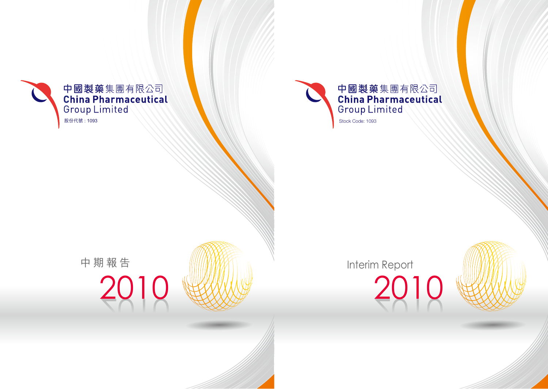

# 2010 Interim Report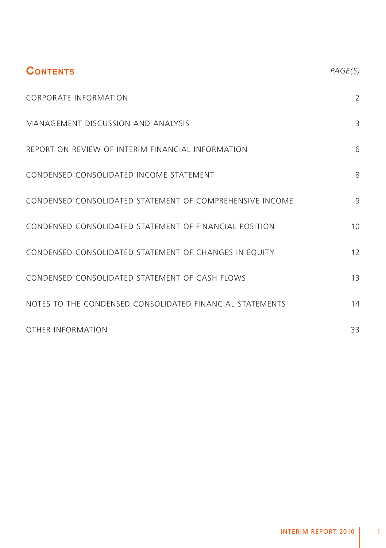| <b>CONTENTS</b>                                          | PAGE(S) |
|----------------------------------------------------------|---------|
| <b>CORPORATE INFORMATION</b>                             | 2       |
| MANAGEMENT DISCUSSION AND ANALYSIS                       | 3       |
| REPORT ON REVIEW OF INTERIM FINANCIAL INFORMATION        | 6       |
| CONDENSED CONSOLIDATED INCOME STATEMENT                  | 8       |
| CONDENSED CONSOLIDATED STATEMENT OF COMPREHENSIVE INCOME | 9       |
| CONDENSED CONSOLIDATED STATEMENT OF FINANCIAL POSITION   | 10      |
| CONDENSED CONSOLIDATED STATEMENT OF CHANGES IN EQUITY    | 12      |
| CONDENSED CONSOLIDATED STATEMENT OF CASH FLOWS           | 13      |
| NOTES TO THE CONDENSED CONSOLIDATED FINANCIAL STATEMENTS | 14      |
| OTHER INFORMATION                                        | 33      |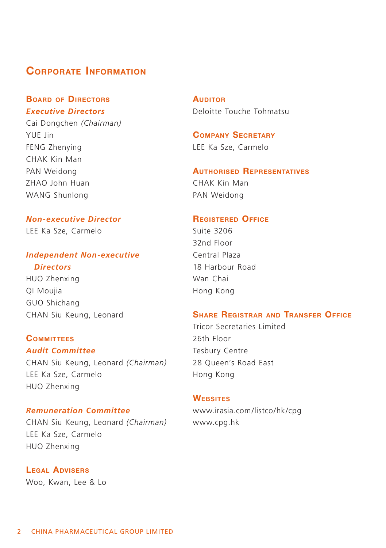# **CORPORATE INFORMATION**

# **BOARD OF DIRECTORS** *Executive Directors*

Cai Dongchen *(Chairman)* YUE Jin FENG Zhenying CHAK Kin Man PAN Weidong ZHAO John Huan WANG Shunlong

# *Non-executive Director*

LEE Ka Sze, Carmelo

# *Independent Non-executive*

# *Directors*

HUO Zhenxing QI Moujia GUO Shichang CHAN Siu Keung, Leonard

# **COMMITTEES**

*Audit Committee* CHAN Siu Keung, Leonard *(Chairman)* LEE Ka Sze, Carmelo HUO Zhenxing

## *Remuneration Committee*

CHAN Siu Keung, Leonard *(Chairman)* LEE Ka Sze, Carmelo HUO Zhenxing

**LEGAL ADVISERS** Woo, Kwan, Lee & Lo **AUDITOR** Deloitte Touche Tohmatsu

**COMPANY SECRETARY** LEE Ka Sze, Carmelo

# **AUTHORISED REPRESENTATIVES**

CHAK Kin Man PAN Weidong

#### **REGISTERED OFFICE**

Suite 3206 32nd Floor Central Plaza 18 Harbour Road Wan Chai Hong Kong

# **SHARE REGISTRAR AND TRANSFER OFFICE**

Tricor Secretaries Limited 26th Floor Tesbury Centre 28 Queen's Road East Hong Kong

#### **WEBSITES**

www.irasia.com/listco/hk/cpg www.cpg.hk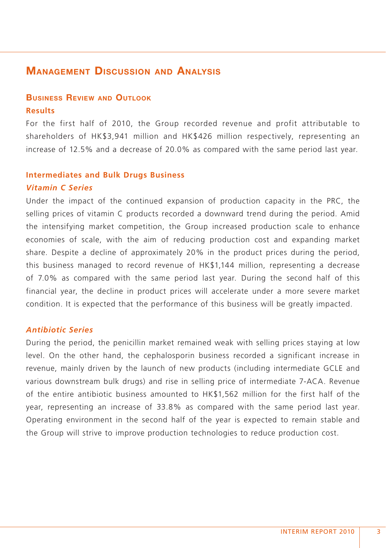# **MANAGEMENT DISCUSSION AND ANALYSIS**

# **BUSINESS REVIEW AND OUTLOOK Results**

For the first half of 2010, the Group recorded revenue and profit attributable to shareholders of HK\$3,941 million and HK\$426 million respectively, representing an increase of 12.5% and a decrease of 20.0% as compared with the same period last year.

#### **Intermediates and Bulk Drugs Business**

#### *Vitamin C Series*

Under the impact of the continued expansion of production capacity in the PRC, the selling prices of vitamin C products recorded a downward trend during the period. Amid the intensifying market competition, the Group increased production scale to enhance economies of scale, with the aim of reducing production cost and expanding market share. Despite a decline of approximately 20% in the product prices during the period, this business managed to record revenue of HK\$1,144 million, representing a decrease of 7.0% as compared with the same period last year. During the second half of this financial year, the decline in product prices will accelerate under a more severe market condition. It is expected that the performance of this business will be greatly impacted.

# *Antibiotic Series*

During the period, the penicillin market remained weak with selling prices staying at low level. On the other hand, the cephalosporin business recorded a significant increase in revenue, mainly driven by the launch of new products (including intermediate GCLE and various downstream bulk drugs) and rise in selling price of intermediate 7-ACA. Revenue of the entire antibiotic business amounted to HK\$1,562 million for the first half of the year, representing an increase of 33.8% as compared with the same period last year. Operating environment in the second half of the year is expected to remain stable and the Group will strive to improve production technologies to reduce production cost.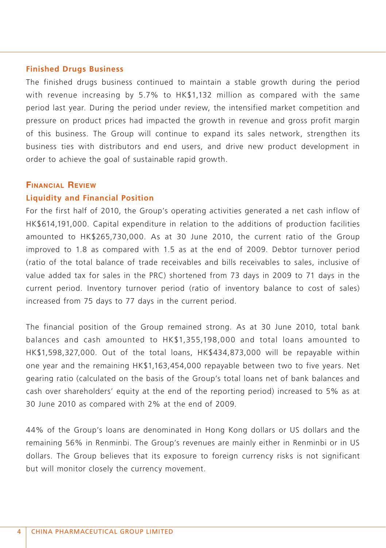#### **Finished Drugs Business**

The finished drugs business continued to maintain a stable growth during the period with revenue increasing by 5.7% to HK\$1,132 million as compared with the same period last year. During the period under review, the intensified market competition and pressure on product prices had impacted the growth in revenue and gross profit margin of this business. The Group will continue to expand its sales network, strengthen its business ties with distributors and end users, and drive new product development in order to achieve the goal of sustainable rapid growth.

#### **FINANCIAL REVIEW**

# **Liquidity and Financial Position**

For the first half of 2010, the Group's operating activities generated a net cash inflow of HK\$614,191,000. Capital expenditure in relation to the additions of production facilities amounted to HK\$265,730,000. As at 30 June 2010, the current ratio of the Group improved to 1.8 as compared with 1.5 as at the end of 2009. Debtor turnover period (ratio of the total balance of trade receivables and bills receivables to sales, inclusive of value added tax for sales in the PRC) shortened from 73 days in 2009 to 71 days in the current period. Inventory turnover period (ratio of inventory balance to cost of sales) increased from 75 days to 77 days in the current period.

The financial position of the Group remained strong. As at 30 June 2010, total bank balances and cash amounted to HK\$1,355,198,000 and total loans amounted to HK\$1,598,327,000. Out of the total loans, HK\$434,873,000 will be repayable within one year and the remaining HK\$1,163,454,000 repayable between two to five years. Net gearing ratio (calculated on the basis of the Group's total loans net of bank balances and cash over shareholders' equity at the end of the reporting period) increased to 5% as at 30 June 2010 as compared with 2% at the end of 2009.

44% of the Group's loans are denominated in Hong Kong dollars or US dollars and the remaining 56% in Renminbi. The Group's revenues are mainly either in Renminbi or in US dollars. The Group believes that its exposure to foreign currency risks is not significant but will monitor closely the currency movement.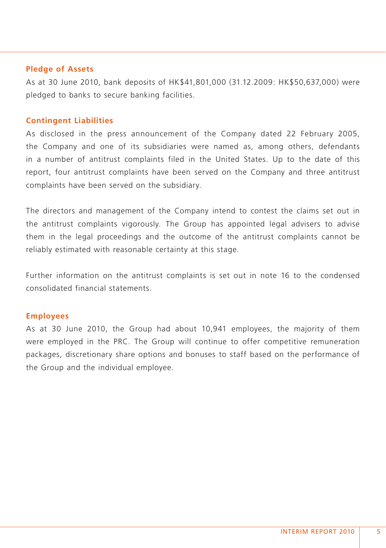#### **Pledge of Assets**

As at 30 June 2010, bank deposits of HK\$41,801,000 (31.12.2009: HK\$50,637,000) were pledged to banks to secure banking facilities.

#### **Contingent Liabilities**

As disclosed in the press announcement of the Company dated 22 February 2005, the Company and one of its subsidiaries were named as, among others, defendants in a number of antitrust complaints filed in the United States. Up to the date of this report, four antitrust complaints have been served on the Company and three antitrust complaints have been served on the subsidiary.

The directors and management of the Company intend to contest the claims set out in the antitrust complaints vigorously. The Group has appointed legal advisers to advise them in the legal proceedings and the outcome of the antitrust complaints cannot be reliably estimated with reasonable certainty at this stage.

Further information on the antitrust complaints is set out in note 16 to the condensed consolidated financial statements.

#### **Employees**

As at 30 June 2010, the Group had about 10,941 employees, the majority of them were employed in the PRC. The Group will continue to offer competitive remuneration packages, discretionary share options and bonuses to staff based on the performance of the Group and the individual employee.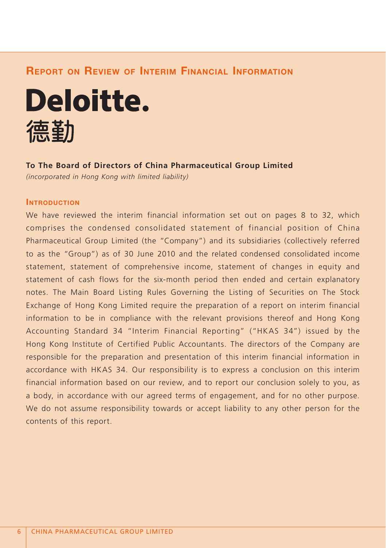# **REPORT ON REVIEW OF INTERIM FINANCIAL INFORMATION**



#### **To The Board of Directors of China Pharmaceutical Group Limited**

*(incorporated in Hong Kong with limited liability)*

# **INTRODUCTION**

We have reviewed the interim financial information set out on pages 8 to 32, which comprises the condensed consolidated statement of financial position of China Pharmaceutical Group Limited (the "Company") and its subsidiaries (collectively referred to as the "Group") as of 30 June 2010 and the related condensed consolidated income statement, statement of comprehensive income, statement of changes in equity and statement of cash flows for the six-month period then ended and certain explanatory notes. The Main Board Listing Rules Governing the Listing of Securities on The Stock Exchange of Hong Kong Limited require the preparation of a report on interim financial information to be in compliance with the relevant provisions thereof and Hong Kong Accounting Standard 34 "Interim Financial Reporting" ("HKAS 34") issued by the Hong Kong Institute of Certified Public Accountants. The directors of the Company are responsible for the preparation and presentation of this interim financial information in accordance with HKAS 34. Our responsibility is to express a conclusion on this interim financial information based on our review, and to report our conclusion solely to you, as a body, in accordance with our agreed terms of engagement, and for no other purpose. We do not assume responsibility towards or accept liability to any other person for the contents of this report.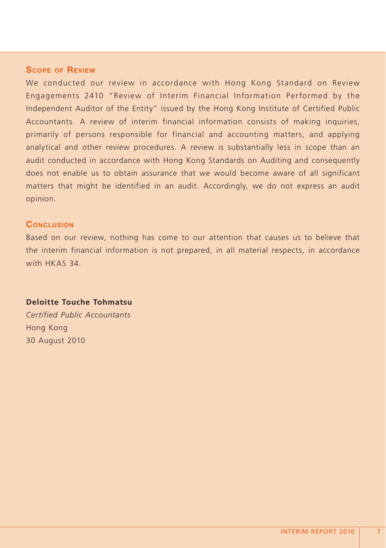## **SCOPE OF REVIEW**

We conducted our review in accordance with Hong Kong Standard on Review Engagements 2410 "Review of Interim Financial Information Performed by the Independent Auditor of the Entity" issued by the Hong Kong Institute of Certified Public Accountants. A review of interim financial information consists of making inquiries, primarily of persons responsible for financial and accounting matters, and applying analytical and other review procedures. A review is substantially less in scope than an audit conducted in accordance with Hong Kong Standards on Auditing and consequently does not enable us to obtain assurance that we would become aware of all significant matters that might be identified in an audit. Accordingly, we do not express an audit opinion.

## **CONCLUSION**

Based on our review, nothing has come to our attention that causes us to believe that the interim financial information is not prepared, in all material respects, in accordance with HKAS 34.

#### **Deloitte Touche Tohmatsu**

*Certified Public Accountants* Hong Kong 30 August 2010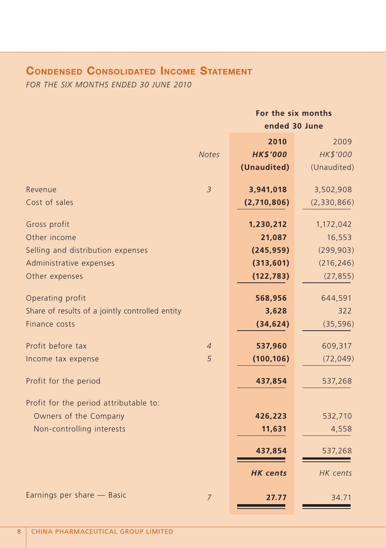# **CONDENSED CONSOLIDATED INCOME STATEMENT**

*FOR THE SIX MONTHS ENDED 30 JUNE 2010*

|                                                 |                | For the six months |             |  |  |
|-------------------------------------------------|----------------|--------------------|-------------|--|--|
|                                                 |                | ended 30 June      |             |  |  |
|                                                 |                | 2010               | 2009        |  |  |
|                                                 | <b>Notes</b>   | <b>HK\$'000</b>    | HK\$'000    |  |  |
|                                                 |                | (Unaudited)        | (Unaudited) |  |  |
| Revenue                                         | $\overline{3}$ | 3,941,018          | 3,502,908   |  |  |
| Cost of sales                                   |                | (2,710,806)        | (2,330,866) |  |  |
| Gross profit                                    |                | 1,230,212          | 1,172,042   |  |  |
| Other income                                    |                | 21,087             | 16,553      |  |  |
| Selling and distribution expenses               |                | (245, 959)         | (299, 903)  |  |  |
| Administrative expenses                         |                | (313,601)          | (216, 246)  |  |  |
| Other expenses                                  |                | (122, 783)         | (27, 855)   |  |  |
| Operating profit                                |                | 568,956            | 644,591     |  |  |
| Share of results of a jointly controlled entity |                | 3,628              | 322         |  |  |
| Finance costs                                   |                | (34, 624)          | (35, 596)   |  |  |
| Profit before tax                               | $\overline{4}$ | 537,960            | 609,317     |  |  |
| Income tax expense                              | 5              | (100, 106)         | (72, 049)   |  |  |
| Profit for the period                           |                | 437,854            | 537,268     |  |  |
| Profit for the period attributable to:          |                |                    |             |  |  |
| Owners of the Company                           |                | 426,223            | 532,710     |  |  |
| Non-controlling interests                       |                | 11,631             | 4,558       |  |  |
|                                                 |                | 437,854            | 537,268     |  |  |
|                                                 |                | <b>HK</b> cents    | HK cents    |  |  |
| Earnings per share - Basic                      | $\overline{7}$ | 27.77              | 34.71       |  |  |
|                                                 |                |                    |             |  |  |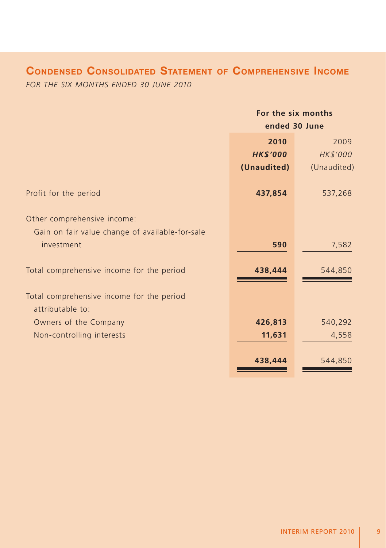# **CONDENSED CONSOLIDATED STATEMENT OF COMPREHENSIVE INCOME**

*FOR THE SIX MONTHS ENDED 30 JUNE 2010*

|                                                               | For the six months |             |  |  |
|---------------------------------------------------------------|--------------------|-------------|--|--|
|                                                               | ended 30 June      |             |  |  |
|                                                               | 2010               | 2009        |  |  |
|                                                               | <b>HK\$'000</b>    | HK\$'000    |  |  |
|                                                               | (Unaudited)        | (Unaudited) |  |  |
| Profit for the period                                         | 437,854            | 537,268     |  |  |
| Other comprehensive income:                                   |                    |             |  |  |
| Gain on fair value change of available-for-sale               |                    |             |  |  |
| investment                                                    | 590                | 7,582       |  |  |
| Total comprehensive income for the period                     | 438,444            | 544,850     |  |  |
| Total comprehensive income for the period<br>attributable to: |                    |             |  |  |
| Owners of the Company                                         | 426,813            | 540,292     |  |  |
|                                                               | 11,631             | 4,558       |  |  |
| Non-controlling interests                                     |                    |             |  |  |
|                                                               | 438,444            | 544,850     |  |  |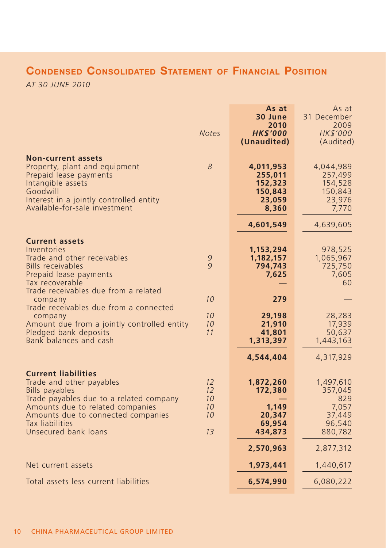# **CONDENSED CONSOLIDATED STATEMENT OF FINANCIAL POSITION**

*AT 30 JUNE 2010*

|                                                                                                                                                                                                                                                 | <b>Notes</b>                                 | As at<br>30 June<br>2010<br><b>HK\$'000</b><br>(Unaudited)    | As at<br>31 December<br>2009<br>HK\$'000<br>(Audited)               |
|-------------------------------------------------------------------------------------------------------------------------------------------------------------------------------------------------------------------------------------------------|----------------------------------------------|---------------------------------------------------------------|---------------------------------------------------------------------|
| <b>Non-current assets</b><br>Property, plant and equipment<br>Prepaid lease payments<br>Intangible assets<br>Goodwill<br>Interest in a jointly controlled entity<br>Available-for-sale investment                                               | 8                                            | 4,011,953<br>255,011<br>152,323<br>150,843<br>23,059<br>8,360 | 4,044,989<br>257,499<br>154,528<br>150,843<br>23,976<br>7,770       |
|                                                                                                                                                                                                                                                 |                                              | 4,601,549                                                     | 4,639,605                                                           |
| <b>Current assets</b><br>Inventories<br>Trade and other receivables<br><b>Bills receivables</b><br>Prepaid lease payments<br>Tax recoverable                                                                                                    | $\mathcal{G}$<br>9                           | 1,153,294<br>1,182,157<br>794,743<br>7,625                    | 978,525<br>1,065,967<br>725,750<br>7,605<br>60                      |
| Trade receivables due from a related<br>company<br>Trade receivables due from a connected                                                                                                                                                       | 10                                           | 279                                                           |                                                                     |
| company<br>Amount due from a jointly controlled entity<br>Pledged bank deposits<br>Bank balances and cash                                                                                                                                       | 10<br>10<br>11                               | 29,198<br>21,910<br>41,801<br>1,313,397                       | 28,283<br>17,939<br>50,637<br>1,443,163                             |
|                                                                                                                                                                                                                                                 |                                              | 4,544,404                                                     | 4,317,929                                                           |
| <b>Current liabilities</b><br>Trade and other payables<br><b>Bills payables</b><br>Trade payables due to a related company<br>Amounts due to related companies<br>Amounts due to connected companies<br>Tax liabilities<br>Unsecured bank loans | 12<br>12<br>10<br>10<br>10<br>1 <sub>3</sub> | 1,872,260<br>172,380<br>1.149<br>20,347<br>69,954<br>434,873  | 1,497,610<br>357,045<br>829<br>7,057<br>37,449<br>96,540<br>880,782 |
|                                                                                                                                                                                                                                                 |                                              | 2,570,963                                                     | 2,877,312                                                           |
| Net current assets                                                                                                                                                                                                                              |                                              | 1,973,441                                                     | 1,440,617                                                           |
| Total assets less current liabilities                                                                                                                                                                                                           |                                              | 6,574,990                                                     | 6,080,222                                                           |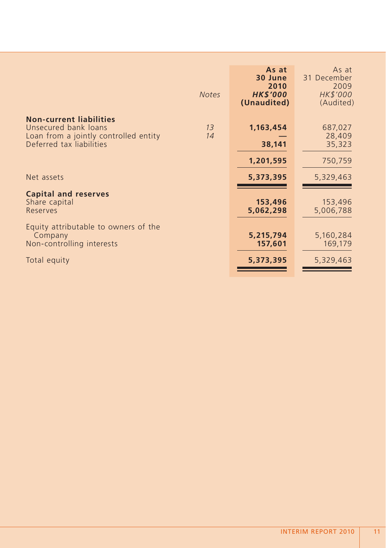|                                                                                                                             | <b>Notes</b> | As at<br>30 June<br>2010<br><b>HK\$'000</b><br>(Unaudited) | As at<br>31 December<br>2009<br>HK\$'000<br>(Audited) |
|-----------------------------------------------------------------------------------------------------------------------------|--------------|------------------------------------------------------------|-------------------------------------------------------|
| <b>Non-current liabilities</b><br>Unsecured bank loans<br>Loan from a jointly controlled entity<br>Deferred tax liabilities | 13<br>14     | 1,163,454<br>38,141                                        | 687,027<br>28,409<br>35,323                           |
|                                                                                                                             |              | 1,201,595                                                  | 750,759                                               |
| Net assets                                                                                                                  |              | 5,373,395                                                  | 5,329,463                                             |
| <b>Capital and reserves</b><br>Share capital<br>Reserves                                                                    |              | 153,496<br>5,062,298                                       | 153,496<br>5,006,788                                  |
| Equity attributable to owners of the<br>Company<br>Non-controlling interests                                                |              | 5,215,794<br>157,601                                       | 5,160,284<br>169,179                                  |
| Total equity                                                                                                                |              | 5,373,395                                                  | 5,329,463                                             |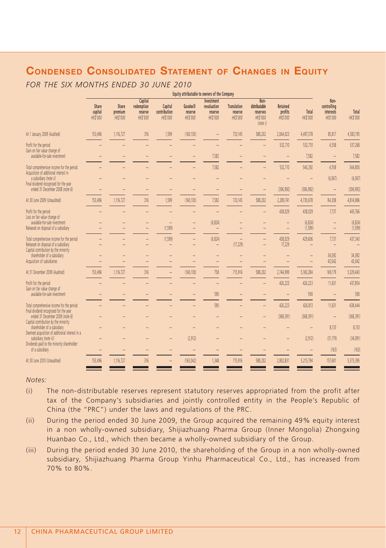# **CONDENSED CONSOLIDATED STATEMENT OF CHANGES IN EQUITY**

*FOR THE SIX MONTHS ENDED 30 JUNE 2010*

|                                                                                                                           |                                     |                                     |                                                     |                                            |                                        | Equity attributable to owners of the Company            |                                                  |                                                                  |                                               |                          |                                                     |                          |
|---------------------------------------------------------------------------------------------------------------------------|-------------------------------------|-------------------------------------|-----------------------------------------------------|--------------------------------------------|----------------------------------------|---------------------------------------------------------|--------------------------------------------------|------------------------------------------------------------------|-----------------------------------------------|--------------------------|-----------------------------------------------------|--------------------------|
|                                                                                                                           | Share<br>capital<br><b>HK\$'000</b> | Share<br>premium<br><b>HK\$'000</b> | Capital<br>redemption<br>reserve<br><b>HK\$'000</b> | Capital<br>contribution<br><b>HK\$'000</b> | Goodwill<br>reserve<br><b>HK\$'000</b> | Investment<br>revaluation<br>reserve<br><b>HK\$'000</b> | <b>Translation</b><br>reserve<br><b>HK\$'000</b> | Non-<br>distributable<br>reserves<br><b>HK\$'000</b><br>(note i) | <b>Retained</b><br>profits<br><b>HK\$'000</b> | Total<br><b>HK\$'000</b> | Non-<br>controlling<br>interests<br><b>HK\$'000</b> | Total<br><b>HK\$'000</b> |
| At 1 January 2009 (Audited)                                                                                               | 153,496                             | 1,116,727                           | 316                                                 | 1,599                                      | (160, 130)                             |                                                         | 733,145                                          | 588,202                                                          | 2,064,023                                     | 4,497,378                | 85,817                                              | 4,583,195                |
| Profit for the period<br>Gain on fair value change of                                                                     |                                     |                                     |                                                     |                                            |                                        |                                                         |                                                  |                                                                  | 532,710                                       | 532,710                  | 4,558                                               | 537,268                  |
| available-for-sale investment                                                                                             |                                     |                                     |                                                     |                                            |                                        | 7,582                                                   |                                                  |                                                                  |                                               | 7,582                    |                                                     | 7,582                    |
| Total comprehensive income for the period<br>Acquisition of additional interest in                                        |                                     |                                     |                                                     |                                            |                                        | 7,582                                                   |                                                  |                                                                  | 532,710                                       | 540,292                  | 4,558                                               | 544,850                  |
| a subsidiary (note ii)<br>Final dividend recognised for the year                                                          |                                     |                                     |                                                     |                                            |                                        |                                                         |                                                  |                                                                  |                                               |                          | (6,067)                                             | (6,067)                  |
| ended 31 December 2008 (note 6)                                                                                           |                                     |                                     |                                                     | $\overline{a}$                             |                                        |                                                         |                                                  |                                                                  | (306, 992)                                    | (306, 992)               | $\overline{\phantom{0}}$                            | (306, 992)               |
| At 30 June 2009 (Unaudited)                                                                                               | 153,496                             | 1,116,727                           | 316                                                 | 1,599                                      | (160, 130)                             | 7,582                                                   | 733,145                                          | 588,202                                                          | 2,289,741                                     | 4,730,678                | 84,308                                              | 4,814,986                |
| Profit for the period<br>Loss on fair value change of                                                                     |                                     |                                     |                                                     |                                            |                                        |                                                         |                                                  |                                                                  | 438,029                                       | 438,029                  | 7,737                                               | 445,766                  |
| available-for-sale investment<br>Released on disposal of a subsidiary                                                     |                                     |                                     | -                                                   | -<br>(1,599)                               |                                        | (6, 824)<br>$\overline{\phantom{a}}$                    |                                                  |                                                                  |                                               | (6, 824)<br>(1,599)      |                                                     | (6, 824)<br>(1,599)      |
| Total comprehensive income for the period<br>Released on disposal of a subsidiary<br>Capital contribution by the minority |                                     |                                     | $\overline{\phantom{0}}$                            | (1, 599)<br>$\qquad \qquad -$              |                                        | (6, 824)<br>$\qquad \qquad -$                           | (17, 229)                                        | $\qquad \qquad -$                                                | 438,029<br>17,229                             | 429,606                  | 7,737<br>$\overline{\phantom{0}}$                   | 437,343                  |
| shareholder of a subsidiary<br>Acquisition of subsidiaries                                                                |                                     |                                     |                                                     | -                                          |                                        |                                                         |                                                  |                                                                  |                                               |                          | 34.092<br>43,042                                    | 34.092<br>43,042         |
| At 31 December 2009 (Audited)                                                                                             | 153,496                             | 1,116,727                           | 316                                                 |                                            | (160, 130)                             | 758                                                     | 715,916                                          | 588,202                                                          | 2,744,999                                     | 5,160,284                | 169,179                                             | 5,329,463                |
| Profit for the period<br>Gain on fair value change of                                                                     |                                     |                                     |                                                     |                                            |                                        |                                                         |                                                  |                                                                  | 426,223                                       | 426,223                  | 11,631                                              | 437,854                  |
| available-for-sale investment                                                                                             |                                     |                                     |                                                     |                                            |                                        | 590                                                     |                                                  |                                                                  |                                               | 590                      |                                                     | 590                      |
| Total comprehensive income for the period<br>Final dividend recognised for the year                                       |                                     |                                     |                                                     |                                            |                                        | 590                                                     |                                                  |                                                                  | 426,223                                       | 426,813                  | 11,631                                              | 438,444                  |
| ended 31 December 2009 (note 6)<br>Capital contribution by the minority                                                   |                                     |                                     |                                                     |                                            |                                        |                                                         |                                                  |                                                                  | (368, 391)                                    | (368, 391)               |                                                     | (368, 391)               |
| shareholder of a subsidiary<br>Deemed acquisition of additional interest in a                                             |                                     |                                     |                                                     |                                            |                                        |                                                         |                                                  |                                                                  |                                               |                          | 8,133                                               | 8,133                    |
| subsidiary (note iii)<br>Dividends paid to the minority shareholder                                                       |                                     |                                     |                                                     |                                            | (2.912)                                |                                                         |                                                  |                                                                  |                                               | (2.912)                  | (31, 179)                                           | (34,091)                 |
| of a subsidiary                                                                                                           |                                     |                                     |                                                     |                                            |                                        |                                                         |                                                  |                                                                  |                                               |                          | (163)                                               | (163)                    |
| At 30 June 2010 (Unaudited)                                                                                               | 153,496                             | 1,116,727                           | 316                                                 |                                            | (163, 042)                             | 1,348                                                   | 715,916                                          | 588.202                                                          | 2.802.831                                     | 5.215.794                | 157.601                                             | 5.373.395                |
|                                                                                                                           |                                     |                                     |                                                     |                                            |                                        |                                                         |                                                  |                                                                  |                                               |                          |                                                     |                          |

#### *Notes:*

- (i) The non-distributable reserves represent statutory reserves appropriated from the profit after tax of the Company's subsidiaries and jointly controlled entity in the People's Republic of China (the "PRC") under the laws and regulations of the PRC.
- (ii) During the period ended 30 June 2009, the Group acquired the remaining 49% equity interest in a non wholly-owned subsidiary, Shijiazhuang Pharma Group (Inner Mongolia) Zhongxing Huanbao Co., Ltd., which then became a wholly-owned subsidiary of the Group.
- (iii) During the period ended 30 June 2010, the shareholding of the Group in a non wholly-owned subsidiary, Shijiazhuang Pharma Group Yinhu Pharmaceutical Co., Ltd., has increased from 70% to 80%.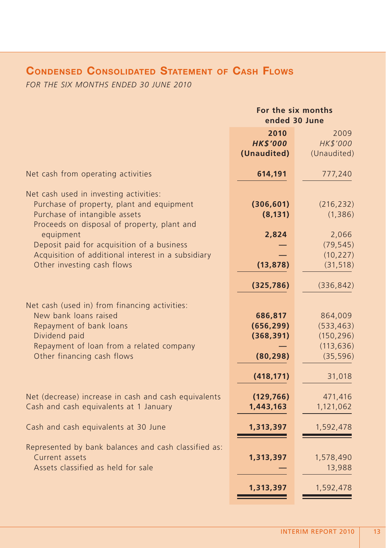# **CONDENSED CONSOLIDATED STATEMENT OF CASH FLOWS**

*FOR THE SIX MONTHS ENDED 30 JUNE 2010*

|                                                                                                                                                                                              | For the six months<br>ended 30 June                            |                                                                          |  |
|----------------------------------------------------------------------------------------------------------------------------------------------------------------------------------------------|----------------------------------------------------------------|--------------------------------------------------------------------------|--|
|                                                                                                                                                                                              | 2010<br><b>HK\$'000</b><br>(Unaudited)                         | 2009<br>HK\$'000<br>(Unaudited)                                          |  |
| Net cash from operating activities                                                                                                                                                           | 614,191                                                        | 777,240                                                                  |  |
| Net cash used in investing activities:<br>Purchase of property, plant and equipment<br>Purchase of intangible assets<br>Proceeds on disposal of property, plant and                          | (306, 601)<br>(8, 131)                                         | (216, 232)<br>(1, 386)                                                   |  |
| equipment<br>Deposit paid for acquisition of a business                                                                                                                                      | 2,824                                                          | 2,066<br>(79, 545)                                                       |  |
| Acquisition of additional interest in a subsidiary<br>Other investing cash flows                                                                                                             | (13, 878)                                                      | (10, 227)<br>(31, 518)                                                   |  |
|                                                                                                                                                                                              | (325, 786)                                                     | (336, 842)                                                               |  |
| Net cash (used in) from financing activities:<br>New bank loans raised<br>Repayment of bank loans<br>Dividend paid<br>Repayment of loan from a related company<br>Other financing cash flows | 686,817<br>(656, 299)<br>(368, 391)<br>(80, 298)<br>(418, 171) | 864,009<br>(533, 463)<br>(150, 296)<br>(113, 636)<br>(35, 596)<br>31,018 |  |
| Net (decrease) increase in cash and cash equivalents<br>Cash and cash equivalents at 1 January                                                                                               | (129, 766)<br>1,443,163                                        | 471,416<br>1,121,062                                                     |  |
| Cash and cash equivalents at 30 June                                                                                                                                                         | 1,313,397                                                      | 1,592,478                                                                |  |
| Represented by bank balances and cash classified as:<br>Current assets<br>Assets classified as held for sale                                                                                 | 1,313,397                                                      | 1,578,490<br>13,988                                                      |  |
|                                                                                                                                                                                              | 1,313,397                                                      | 1,592,478                                                                |  |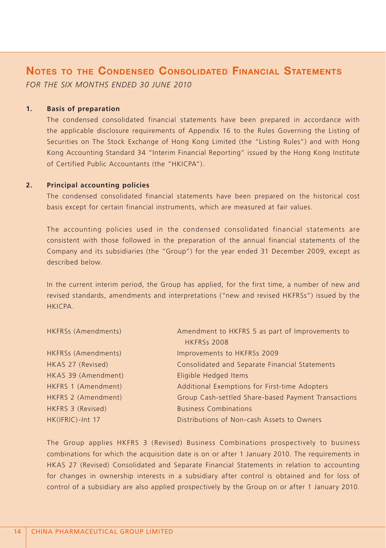# **NOTES TO THE CONDENSED CONSOLIDATED FINANCIAL STATEMENTS** *FOR THE SIX MONTHS ENDED 30 JUNE 2010*

#### **1. Basis of preparation**

The condensed consolidated financial statements have been prepared in accordance with the applicable disclosure requirements of Appendix 16 to the Rules Governing the Listing of Securities on The Stock Exchange of Hong Kong Limited (the "Listing Rules") and with Hong Kong Accounting Standard 34 "Interim Financial Reporting" issued by the Hong Kong Institute of Certified Public Accountants (the "HKICPA").

#### **2. Principal accounting policies**

The condensed consolidated financial statements have been prepared on the historical cost basis except for certain financial instruments, which are measured at fair values.

The accounting policies used in the condensed consolidated financial statements are consistent with those followed in the preparation of the annual financial statements of the Company and its subsidiaries (the "Group") for the year ended 31 December 2009, except as described below.

In the current interim period, the Group has applied, for the first time, a number of new and revised standards, amendments and interpretations ("new and revised HKFRSs") issued by the **HKICPA** 

| HKFRSs (Amendments) | Amendment to HKFRS 5 as part of Improvements to     |
|---------------------|-----------------------------------------------------|
|                     | <b>HKFRSs 2008</b>                                  |
| HKFRSs (Amendments) | Improvements to HKFRSs 2009                         |
| HKAS 27 (Revised)   | Consolidated and Separate Financial Statements      |
| HKAS 39 (Amendment) | Eligible Hedged Items                               |
| HKFRS 1 (Amendment) | Additional Exemptions for First-time Adopters       |
| HKFRS 2 (Amendment) | Group Cash-settled Share-based Payment Transactions |
| HKFRS 3 (Revised)   | <b>Business Combinations</b>                        |
| HK(IFRIC)-Int 17    | Distributions of Non-cash Assets to Owners          |

The Group applies HKFRS 3 (Revised) Business Combinations prospectively to business combinations for which the acquisition date is on or after 1 January 2010. The requirements in HKAS 27 (Revised) Consolidated and Separate Financial Statements in relation to accounting for changes in ownership interests in a subsidiary after control is obtained and for loss of control of a subsidiary are also applied prospectively by the Group on or after 1 January 2010.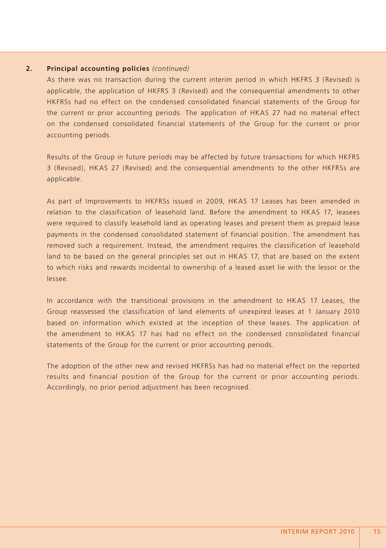#### **2. Principal accounting policies** *(continued)*

As there was no transaction during the current interim period in which HKFRS 3 (Revised) is applicable, the application of HKFRS 3 (Revised) and the consequential amendments to other HKFRSs had no effect on the condensed consolidated financial statements of the Group for the current or prior accounting periods. The application of HKAS 27 had no material effect on the condensed consolidated financial statements of the Group for the current or prior accounting periods.

Results of the Group in future periods may be affected by future transactions for which HKFRS 3 (Revised), HKAS 27 (Revised) and the consequential amendments to the other HKFRSs are applicable.

As part of Improvements to HKFRSs issued in 2009, HKAS 17 Leases has been amended in relation to the classification of leasehold land. Before the amendment to HKAS 17, leasees were required to classify leasehold land as operating leases and present them as prepaid lease payments in the condensed consolidated statement of financial position. The amendment has removed such a requirement. Instead, the amendment requires the classification of leasehold land to be based on the general principles set out in HKAS 17, that are based on the extent to which risks and rewards incidental to ownership of a leased asset lie with the lessor or the lessee.

In accordance with the transitional provisions in the amendment to HKAS 17 Leases, the Group reassessed the classification of land elements of unexpired leases at 1 January 2010 based on information which existed at the inception of these leases. The application of the amendment to HKAS 17 has had no effect on the condensed consolidated financial statements of the Group for the current or prior accounting periods.

The adoption of the other new and revised HKFRSs has had no material effect on the reported results and financial position of the Group for the current or prior accounting periods. Accordingly, no prior period adjustment has been recognised.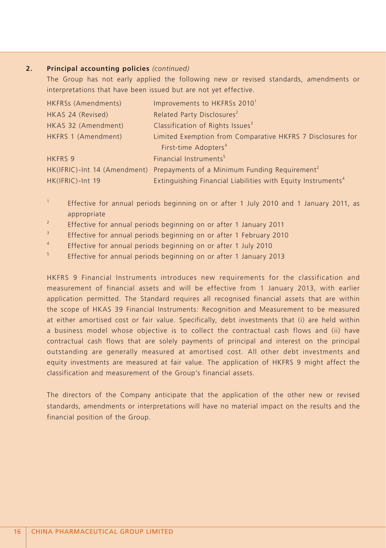#### **2. Principal accounting policies** *(continued)*

The Group has not early applied the following new or revised standards, amendments or interpretations that have been issued but are not yet effective.

| HKFRSs (Amendments) | Improvements to HKFRSs 2010 <sup>1</sup>                                               |
|---------------------|----------------------------------------------------------------------------------------|
| HKAS 24 (Revised)   | Related Party Disclosures <sup>2</sup>                                                 |
| HKAS 32 (Amendment) | Classification of Rights Issues <sup>3</sup>                                           |
| HKFRS 1 (Amendment) | Limited Exemption from Comparative HKFRS 7 Disclosures for                             |
|                     | First-time Adopters <sup>4</sup>                                                       |
| <b>HKFRS 9</b>      | Financial Instruments <sup>5</sup>                                                     |
|                     | HK(IFRIC)-Int 14 (Amendment) Prepayments of a Minimum Funding Requirement <sup>2</sup> |
| HK(IFRIC)-Int 19    | Extinguishing Financial Liabilities with Equity Instruments <sup>4</sup>               |

- 1 Effective for annual periods beginning on or after 1 July 2010 and 1 January 2011, as appropriate
- $\overline{2}$ Effective for annual periods beginning on or after 1 January 2011
- 3 Effective for annual periods beginning on or after 1 February 2010
- 4 Effective for annual periods beginning on or after 1 July 2010
- 5 Effective for annual periods beginning on or after 1 January 2013

HKFRS 9 Financial Instruments introduces new requirements for the classification and measurement of financial assets and will be effective from 1 January 2013, with earlier application permitted. The Standard requires all recognised financial assets that are within the scope of HKAS 39 Financial Instruments: Recognition and Measurement to be measured at either amortised cost or fair value. Specifically, debt investments that (i) are held within a business model whose objective is to collect the contractual cash flows and (ii) have contractual cash flows that are solely payments of principal and interest on the principal outstanding are generally measured at amortised cost. All other debt investments and equity investments are measured at fair value. The application of HKFRS 9 might affect the classification and measurement of the Group's financial assets.

The directors of the Company anticipate that the application of the other new or revised standards, amendments or interpretations will have no material impact on the results and the financial position of the Group.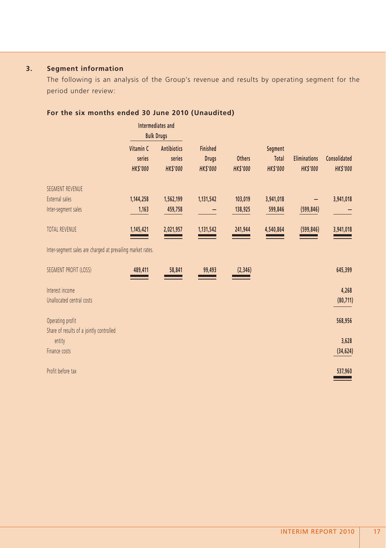# **3. Segment information**

The following is an analysis of the Group's revenue and results by operating segment for the period under review:

|                                                             | Intermediates and<br><b>Bulk Drugs</b> |                    |                 |                |                 |                     |                 |
|-------------------------------------------------------------|----------------------------------------|--------------------|-----------------|----------------|-----------------|---------------------|-----------------|
|                                                             | Vitamin C                              | <b>Antibiotics</b> | <b>Finished</b> |                | Segment         |                     |                 |
|                                                             | series                                 | series             | <b>Drugs</b>    | <b>Others</b>  | Total           | <b>Eliminations</b> | Consolidated    |
|                                                             | <b>HKS'000</b>                         | <b>HK\$'000</b>    | <b>HK\$'000</b> | <b>HKS'000</b> | <b>HK\$'000</b> | <b>HK\$'000</b>     | <b>HK\$'000</b> |
| <b>SEGMENT REVENUE</b>                                      |                                        |                    |                 |                |                 |                     |                 |
| External sales                                              | 1,144,258                              | 1,562,199          | 1,131,542       | 103,019        | 3,941,018       |                     | 3,941,018       |
| Inter-segment sales                                         | 1,163                                  | 459,758            |                 | 138,925        | 599,846         | (599, 846)          |                 |
| <b>TOTAL REVENUE</b>                                        | 1,145,421                              | 2,021,957          | 1,131,542       | 241,944        | 4,540,864       | (599, 846)          | 3,941,018       |
| Inter-segment sales are charged at prevailing market rates. |                                        |                    |                 |                |                 |                     |                 |
| SEGMENT PROFIT (LOSS)                                       | 489,411                                | 58,841             | 99,493          | (2, 346)       |                 |                     | 645,399         |
| Interest income                                             |                                        |                    |                 |                |                 |                     | 4,268           |
| Unallocated central costs                                   |                                        |                    |                 |                |                 |                     | (80, 711)       |
|                                                             |                                        |                    |                 |                |                 |                     |                 |
| Operating profit                                            |                                        |                    |                 |                |                 |                     | 568,956         |
| Share of results of a jointly controlled                    |                                        |                    |                 |                |                 |                     |                 |
| entity                                                      |                                        |                    |                 |                |                 |                     | 3,628           |
| Finance costs                                               |                                        |                    |                 |                |                 |                     | (34, 624)       |
| Profit before tax                                           |                                        |                    |                 |                |                 |                     | 537,960         |

# **For the six months ended 30 June 2010 (Unaudited)**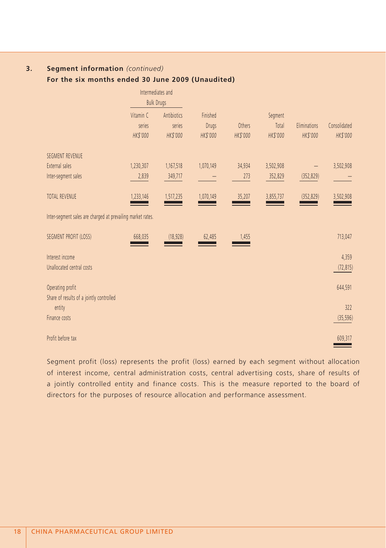## **3. Segment information** *(continued)*

## **For the six months ended 30 June 2009 (Unaudited)**

|                                                              | Intermediates and<br><b>Bulk Drugs</b> |             |                 |                 |           |              |              |
|--------------------------------------------------------------|----------------------------------------|-------------|-----------------|-----------------|-----------|--------------|--------------|
|                                                              | Vitamin C                              | Antibiotics | Finished        |                 | Segment   |              |              |
|                                                              | series                                 | series      | <b>Drugs</b>    | Others          | Total     | Eliminations | Consolidated |
|                                                              | HK\$'000                               | HK\$'000    | <b>HK\$'000</b> | <b>HK\$'000</b> | HK\$'000  | HK\$'000     | HK\$'000     |
| <b>SEGMENT REVENUE</b>                                       |                                        |             |                 |                 |           |              |              |
| External sales                                               | 1,230,307                              | 1,167,518   | 1,070,149       | 34,934          | 3,502,908 |              | 3,502,908    |
| Inter-segment sales                                          | 2,839                                  | 349,717     |                 | 273             | 352,829   | (352, 829)   |              |
| <b>TOTAL REVENUE</b>                                         | 1,233,146                              | 1,517,235   | 1,070,149       | 35,207          | 3,855,737 | (352, 829)   | 3,502,908    |
| Inter-segment sales are charged at prevailing market rates.  |                                        |             |                 |                 |           |              |              |
| SEGMENT PROFIT (LOSS)                                        | 668,035                                | (18, 928)   | 62,485          | 1,455           |           |              | 713,047      |
| Interest income                                              |                                        |             |                 |                 |           |              | 4,359        |
| Unallocated central costs                                    |                                        |             |                 |                 |           |              | (72, 815)    |
| Operating profit<br>Share of results of a jointly controlled |                                        |             |                 |                 |           |              | 644,591      |
| entity                                                       |                                        |             |                 |                 |           |              | 322          |
| Finance costs                                                |                                        |             |                 |                 |           |              | (35, 596)    |
| Profit before tax                                            |                                        |             |                 |                 |           |              | 609,317      |

Segment profit (loss) represents the profit (loss) earned by each segment without allocation of interest income, central administration costs, central advertising costs, share of results of a jointly controlled entity and finance costs. This is the measure reported to the board of directors for the purposes of resource allocation and performance assessment.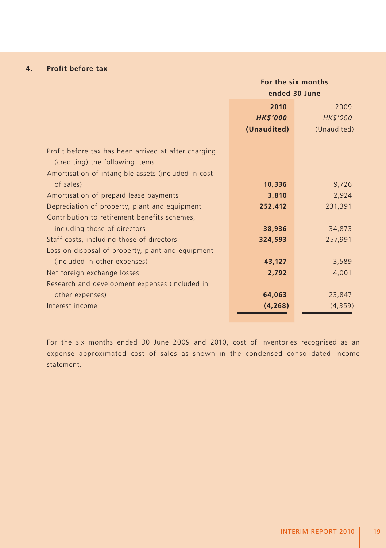## **4. Profit before tax**

|                                                      | For the six months |             |  |  |
|------------------------------------------------------|--------------------|-------------|--|--|
|                                                      | ended 30 June      |             |  |  |
|                                                      | 2010<br>2009       |             |  |  |
|                                                      | <b>HK\$'000</b>    | HK\$'000    |  |  |
|                                                      | (Unaudited)        | (Unaudited) |  |  |
|                                                      |                    |             |  |  |
| Profit before tax has been arrived at after charging |                    |             |  |  |
| (crediting) the following items:                     |                    |             |  |  |
| Amortisation of intangible assets (included in cost  |                    |             |  |  |
| of sales)                                            | 10,336             | 9,726       |  |  |
| Amortisation of prepaid lease payments               | 3,810              | 2,924       |  |  |
| Depreciation of property, plant and equipment        | 252,412            | 231,391     |  |  |
| Contribution to retirement benefits schemes,         |                    |             |  |  |
| including those of directors                         | 38,936             | 34,873      |  |  |
| Staff costs, including those of directors            | 324,593            | 257,991     |  |  |
| Loss on disposal of property, plant and equipment    |                    |             |  |  |
| (included in other expenses)                         | 43,127             | 3,589       |  |  |
| Net foreign exchange losses                          | 2,792              | 4,001       |  |  |
| Research and development expenses (included in       |                    |             |  |  |
| other expenses)                                      | 64,063             | 23,847      |  |  |
| Interest income                                      | (4, 268)           | (4,359)     |  |  |
|                                                      |                    |             |  |  |

For the six months ended 30 June 2009 and 2010, cost of inventories recognised as an expense approximated cost of sales as shown in the condensed consolidated income statement.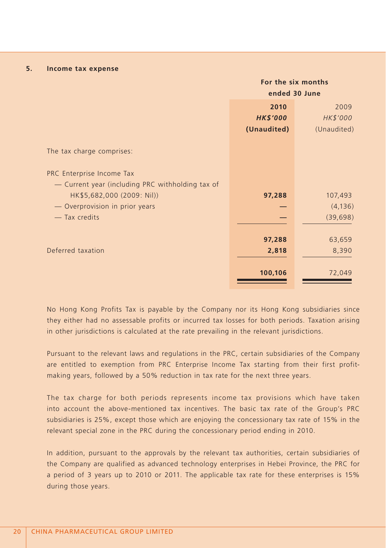#### **5. Income tax expense**

|                                                  | For the six months |             |  |
|--------------------------------------------------|--------------------|-------------|--|
|                                                  | ended 30 June      |             |  |
|                                                  | 2010               | 2009        |  |
|                                                  | <b>HK\$'000</b>    | HK\$'000    |  |
|                                                  | (Unaudited)        | (Unaudited) |  |
| The tax charge comprises:                        |                    |             |  |
| PRC Enterprise Income Tax                        |                    |             |  |
| - Current year (including PRC withholding tax of |                    |             |  |
| HK\$5,682,000 (2009: Nil))                       | 97,288             | 107,493     |  |
| - Overprovision in prior years                   |                    | (4, 136)    |  |
| - Tax credits                                    |                    | (39, 698)   |  |
|                                                  | 97,288             | 63,659      |  |
| Deferred taxation                                | 2,818              | 8,390       |  |
|                                                  |                    |             |  |
|                                                  | 100,106            | 72,049      |  |

No Hong Kong Profits Tax is payable by the Company nor its Hong Kong subsidiaries since they either had no assessable profits or incurred tax losses for both periods. Taxation arising in other jurisdictions is calculated at the rate prevailing in the relevant jurisdictions.

Pursuant to the relevant laws and regulations in the PRC, certain subsidiaries of the Company are entitled to exemption from PRC Enterprise Income Tax starting from their first profitmaking years, followed by a 50% reduction in tax rate for the next three years.

The tax charge for both periods represents income tax provisions which have taken into account the above-mentioned tax incentives. The basic tax rate of the Group's PRC subsidiaries is 25%, except those which are enjoying the concessionary tax rate of 15% in the relevant special zone in the PRC during the concessionary period ending in 2010.

In addition, pursuant to the approvals by the relevant tax authorities, certain subsidiaries of the Company are qualified as advanced technology enterprises in Hebei Province, the PRC for a period of 3 years up to 2010 or 2011. The applicable tax rate for these enterprises is 15% during those years.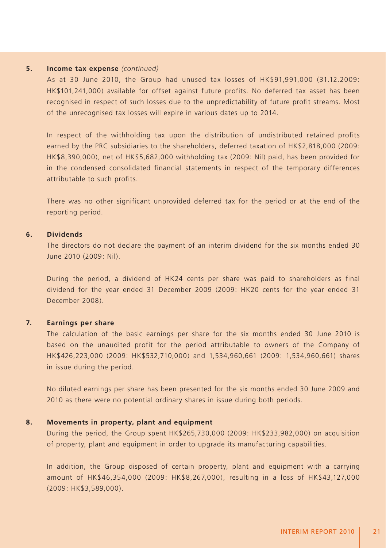#### **5. Income tax expense** *(continued)*

As at 30 June 2010, the Group had unused tax losses of HK\$91,991,000 (31.12.2009: HK\$101,241,000) available for offset against future profits. No deferred tax asset has been recognised in respect of such losses due to the unpredictability of future profit streams. Most of the unrecognised tax losses will expire in various dates up to 2014.

In respect of the withholding tax upon the distribution of undistributed retained profits earned by the PRC subsidiaries to the shareholders, deferred taxation of HK\$2,818,000 (2009: HK\$8,390,000), net of HK\$5,682,000 withholding tax (2009: Nil) paid, has been provided for in the condensed consolidated financial statements in respect of the temporary differences attributable to such profits.

There was no other significant unprovided deferred tax for the period or at the end of the reporting period.

#### **6. Dividends**

The directors do not declare the payment of an interim dividend for the six months ended 30 June 2010 (2009: Nil).

During the period, a dividend of HK24 cents per share was paid to shareholders as final dividend for the year ended 31 December 2009 (2009: HK20 cents for the year ended 31 December 2008).

#### **7. Earnings per share**

The calculation of the basic earnings per share for the six months ended 30 June 2010 is based on the unaudited profit for the period attributable to owners of the Company of HK\$426,223,000 (2009: HK\$532,710,000) and 1,534,960,661 (2009: 1,534,960,661) shares in issue during the period.

No diluted earnings per share has been presented for the six months ended 30 June 2009 and 2010 as there were no potential ordinary shares in issue during both periods.

#### **8. Movements in property, plant and equipment**

During the period, the Group spent HK\$265,730,000 (2009: HK\$233,982,000) on acquisition of property, plant and equipment in order to upgrade its manufacturing capabilities.

In addition, the Group disposed of certain property, plant and equipment with a carrying amount of HK\$46,354,000 (2009: HK\$8,267,000), resulting in a loss of HK\$43,127,000 (2009: HK\$3,589,000).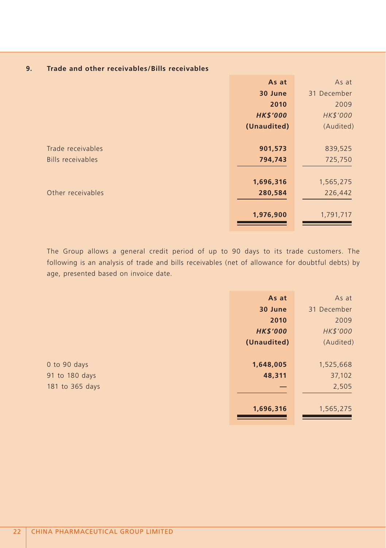| Trade and other receivables/Bills receivables | 9. |  |  |  |  |  |  |
|-----------------------------------------------|----|--|--|--|--|--|--|
|-----------------------------------------------|----|--|--|--|--|--|--|

|                   | As at           | As at       |
|-------------------|-----------------|-------------|
|                   | 30 June         | 31 December |
|                   | 2010            | 2009        |
|                   | <b>HK\$'000</b> | HK\$'000    |
|                   | (Unaudited)     | (Audited)   |
|                   |                 |             |
| Trade receivables | 901,573         | 839,525     |
| Bills receivables | 794,743         | 725,750     |
|                   |                 |             |
|                   | 1,696,316       | 1,565,275   |
| Other receivables | 280,584         | 226,442     |
|                   |                 |             |
|                   | 1,976,900       | 1,791,717   |
|                   |                 |             |

The Group allows a general credit period of up to 90 days to its trade customers. The following is an analysis of trade and bills receivables (net of allowance for doubtful debts) by age, presented based on invoice date.

|                 | As at           | As at       |
|-----------------|-----------------|-------------|
|                 | 30 June         | 31 December |
|                 | 2010            | 2009        |
|                 | <b>HK\$'000</b> | HK\$'000    |
|                 | (Unaudited)     | (Audited)   |
|                 |                 |             |
| 0 to 90 days    | 1,648,005       | 1,525,668   |
| 91 to 180 days  | 48,311          | 37,102      |
| 181 to 365 days |                 | 2,505       |
|                 |                 |             |
|                 | 1,696,316       | 1,565,275   |
|                 |                 |             |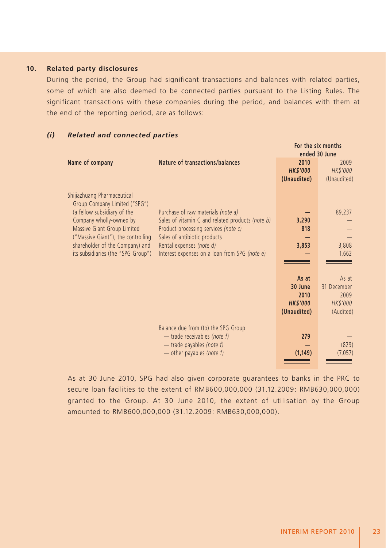#### **10. Related party disclosures**

During the period, the Group had significant transactions and balances with related parties, some of which are also deemed to be connected parties pursuant to the Listing Rules. The significant transactions with these companies during the period, and balances with them at the end of the reporting period, are as follows:

#### *(i) Related and connected parties*

|                                                                                                                                                                                                                                                                      |                                                                                                                                                                                                                                             |                                                   | For the six months<br>ended 30 June                      |
|----------------------------------------------------------------------------------------------------------------------------------------------------------------------------------------------------------------------------------------------------------------------|---------------------------------------------------------------------------------------------------------------------------------------------------------------------------------------------------------------------------------------------|---------------------------------------------------|----------------------------------------------------------|
| Name of company                                                                                                                                                                                                                                                      | Nature of transactions/balances                                                                                                                                                                                                             | 2010<br><b>HK\$'000</b><br>(Unaudited)            | 2009<br>HK\$'000<br>(Unaudited)                          |
| Shijiazhuang Pharmaceutical<br>Group Company Limited ("SPG")<br>(a fellow subsidiary of the<br>Company wholly-owned by<br>Massive Giant Group Limited<br>("Massive Giant"), the controlling<br>shareholder of the Company) and<br>its subsidiaries (the "SPG Group") | Purchase of raw materials (note a)<br>Sales of vitamin C and related products (note b)<br>Product processing services (note c)<br>Sales of antibiotic products<br>Rental expenses (note d)<br>Interest expenses on a loan from SPG (note e) | 3,290<br>818<br>3,853<br>As at<br>30 June<br>2010 | 89,237<br>3,808<br>1,662<br>As at<br>31 December<br>2009 |
|                                                                                                                                                                                                                                                                      |                                                                                                                                                                                                                                             | <b>HK\$'000</b><br>(Unaudited)                    | HK\$'000<br>(Audited)                                    |
|                                                                                                                                                                                                                                                                      | Balance due from (to) the SPG Group<br>$-$ trade receivables (note f)<br>$-$ trade payables (note f)<br>- other payables (note f)                                                                                                           | 279<br>(1, 149)                                   | (829)<br>(7,057)                                         |

As at 30 June 2010, SPG had also given corporate guarantees to banks in the PRC to secure loan facilities to the extent of RMB600,000,000 (31.12.2009: RMB630,000,000) granted to the Group. At 30 June 2010, the extent of utilisation by the Group amounted to RMB600,000,000 (31.12.2009: RMB630,000,000).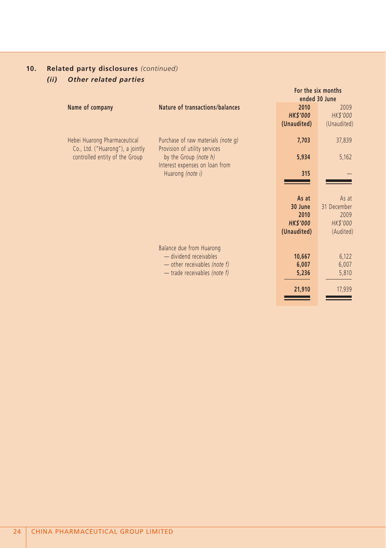# *(ii) Other related parties*

|                                                                  |                                                                                                                      | For the six months<br>ended 30 June                        |                                                       |
|------------------------------------------------------------------|----------------------------------------------------------------------------------------------------------------------|------------------------------------------------------------|-------------------------------------------------------|
| Name of company                                                  | Nature of transactions/balances                                                                                      | 2010<br><b>HK\$'000</b><br>(Unaudited)                     | 2009<br>HK\$'000<br>(Unaudited)                       |
| Hebei Huarong Pharmaceutical<br>Co., Ltd. ("Huarong"), a jointly | Purchase of raw materials (note q)<br>Provision of utility services                                                  | 7,703                                                      | 37,839                                                |
| controlled entity of the Group                                   | by the Group (note h)<br>Interest expenses on loan from                                                              | 5,934                                                      | 5,162                                                 |
|                                                                  | Huarong (note i)                                                                                                     | 315                                                        |                                                       |
|                                                                  |                                                                                                                      | As at<br>30 June<br>2010<br><b>HK\$'000</b><br>(Unaudited) | As at<br>31 December<br>2009<br>HK\$'000<br>(Audited) |
|                                                                  | Balance due from Huarong<br>- dividend receivables<br>- other receivables (note f)<br>$-$ trade receivables (note f) | 10,667<br>6,007<br>5,236                                   | 6,122<br>6,007<br>5,810                               |
|                                                                  |                                                                                                                      | 21,910                                                     | 17,939                                                |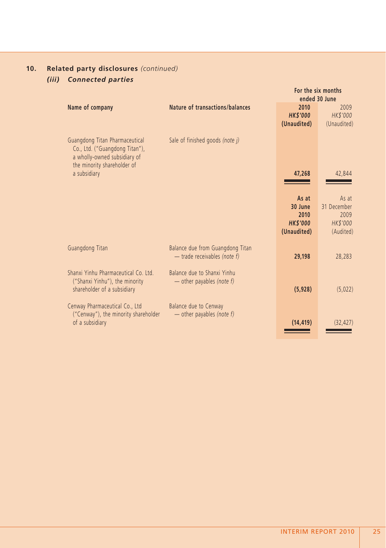# **10. Related party disclosures** *(continued) (iii) Connected parties*

|                                                                                                                                 |                                                                    |                                       | For the six months<br>ended 30 June    |
|---------------------------------------------------------------------------------------------------------------------------------|--------------------------------------------------------------------|---------------------------------------|----------------------------------------|
| Name of company                                                                                                                 | Nature of transactions/balances                                    | 2010<br><b>HKS'000</b><br>(Unaudited) | 2009<br><b>HK\$'000</b><br>(Unaudited) |
| Guangdong Titan Pharmaceutical<br>Co., Ltd. ("Guangdong Titan"),<br>a wholly-owned subsidiary of<br>the minority shareholder of | Sale of finished goods (note j)                                    |                                       |                                        |
| a subsidiary                                                                                                                    |                                                                    | 47,268                                | 42,844                                 |
|                                                                                                                                 |                                                                    | As at<br>30 June                      | As at<br>31 December                   |
|                                                                                                                                 |                                                                    | 2010<br><b>HKS'000</b><br>(Unaudited) | 2009<br><b>HK\$'000</b><br>(Audited)   |
| Guangdong Titan                                                                                                                 | Balance due from Guangdong Titan<br>$-$ trade receivables (note f) | 29,198                                | 28,283                                 |
| Shanxi Yinhu Pharmaceutical Co. Ltd.<br>("Shanxi Yinhu"), the minority<br>shareholder of a subsidiary                           | Balance due to Shanxi Yinhu<br>— other payables (note $f$ )        | (5,928)                               | (5,022)                                |
| Cenway Pharmaceutical Co., Ltd<br>("Cenway"), the minority shareholder<br>of a subsidiary                                       | Balance due to Cenway<br>— other payables (note $f$ )              | (14, 419)                             | (32, 427)                              |
|                                                                                                                                 |                                                                    |                                       |                                        |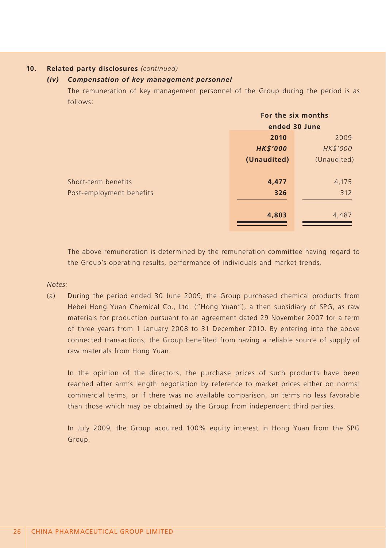#### *(iv) Compensation of key management personnel*

The remuneration of key management personnel of the Group during the period is as follows:

|                          | For the six months |             |
|--------------------------|--------------------|-------------|
|                          | ended 30 June      |             |
|                          | 2010               | 2009        |
|                          | <b>HK\$'000</b>    | HK\$'000    |
|                          | (Unaudited)        | (Unaudited) |
|                          |                    |             |
| Short-term benefits      | 4,477              | 4,175       |
| Post-employment benefits | 326                | 312         |
|                          |                    |             |
|                          | 4,803              | 4,487       |
|                          |                    |             |

The above remuneration is determined by the remuneration committee having regard to the Group's operating results, performance of individuals and market trends.

#### *Notes:*

(a) During the period ended 30 June 2009, the Group purchased chemical products from Hebei Hong Yuan Chemical Co., Ltd. ("Hong Yuan"), a then subsidiary of SPG, as raw materials for production pursuant to an agreement dated 29 November 2007 for a term of three years from 1 January 2008 to 31 December 2010. By entering into the above connected transactions, the Group benefited from having a reliable source of supply of raw materials from Hong Yuan.

In the opinion of the directors, the purchase prices of such products have been reached after arm's length negotiation by reference to market prices either on normal commercial terms, or if there was no available comparison, on terms no less favorable than those which may be obtained by the Group from independent third parties.

In July 2009, the Group acquired 100% equity interest in Hong Yuan from the SPG Group.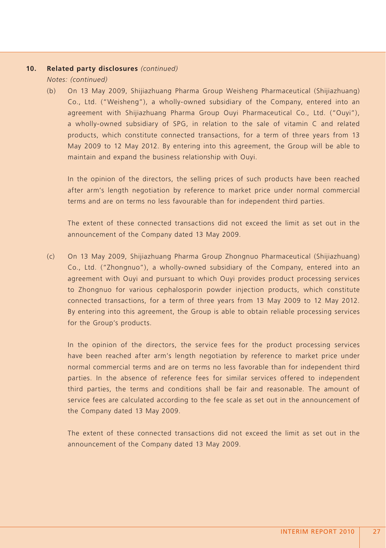*Notes: (continued)*

(b) On 13 May 2009, Shijiazhuang Pharma Group Weisheng Pharmaceutical (Shijiazhuang) Co., Ltd. ("Weisheng"), a wholly-owned subsidiary of the Company, entered into an agreement with Shijiazhuang Pharma Group Ouyi Pharmaceutical Co., Ltd. ("Ouyi"), a wholly-owned subsidiary of SPG, in relation to the sale of vitamin C and related products, which constitute connected transactions, for a term of three years from 13 May 2009 to 12 May 2012. By entering into this agreement, the Group will be able to maintain and expand the business relationship with Ouyi.

In the opinion of the directors, the selling prices of such products have been reached after arm's length negotiation by reference to market price under normal commercial terms and are on terms no less favourable than for independent third parties.

The extent of these connected transactions did not exceed the limit as set out in the announcement of the Company dated 13 May 2009.

(c) On 13 May 2009, Shijiazhuang Pharma Group Zhongnuo Pharmaceutical (Shijiazhuang) Co., Ltd. ("Zhongnuo"), a wholly-owned subsidiary of the Company, entered into an agreement with Ouyi and pursuant to which Ouyi provides product processing services to Zhongnuo for various cephalosporin powder injection products, which constitute connected transactions, for a term of three years from 13 May 2009 to 12 May 2012. By entering into this agreement, the Group is able to obtain reliable processing services for the Group's products.

In the opinion of the directors, the service fees for the product processing services have been reached after arm's length negotiation by reference to market price under normal commercial terms and are on terms no less favorable than for independent third parties. In the absence of reference fees for similar services offered to independent third parties, the terms and conditions shall be fair and reasonable. The amount of service fees are calculated according to the fee scale as set out in the announcement of the Company dated 13 May 2009.

The extent of these connected transactions did not exceed the limit as set out in the announcement of the Company dated 13 May 2009.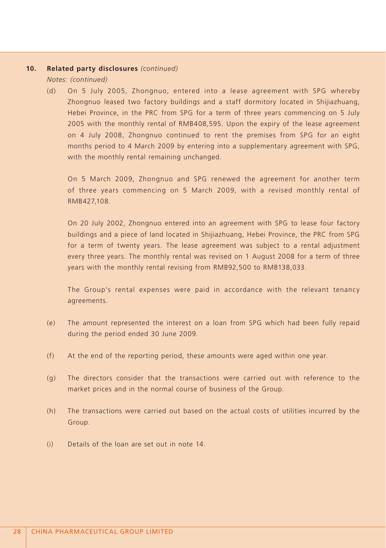*Notes: (continued)*

(d) On 5 July 2005, Zhongnuo, entered into a lease agreement with SPG whereby Zhongnuo leased two factory buildings and a staff dormitory located in Shijiazhuang, Hebei Province, in the PRC from SPG for a term of three years commencing on 5 July 2005 with the monthly rental of RMB408,595. Upon the expiry of the lease agreement on 4 July 2008, Zhongnuo continued to rent the premises from SPG for an eight months period to 4 March 2009 by entering into a supplementary agreement with SPG, with the monthly rental remaining unchanged.

On 5 March 2009, Zhongnuo and SPG renewed the agreement for another term of three years commencing on 5 March 2009, with a revised monthly rental of RMB427,108.

On 20 July 2002, Zhongnuo entered into an agreement with SPG to lease four factory buildings and a piece of land located in Shijiazhuang, Hebei Province, the PRC from SPG for a term of twenty years. The lease agreement was subject to a rental adjustment every three years. The monthly rental was revised on 1 August 2008 for a term of three years with the monthly rental revising from RMB92,500 to RMB138,033.

The Group's rental expenses were paid in accordance with the relevant tenancy agreements.

- (e) The amount represented the interest on a loan from SPG which had been fully repaid during the period ended 30 June 2009.
- (f) At the end of the reporting period, these amounts were aged within one year.
- (g) The directors consider that the transactions were carried out with reference to the market prices and in the normal course of business of the Group.
- (h) The transactions were carried out based on the actual costs of utilities incurred by the Group.
- (i) Details of the loan are set out in note 14.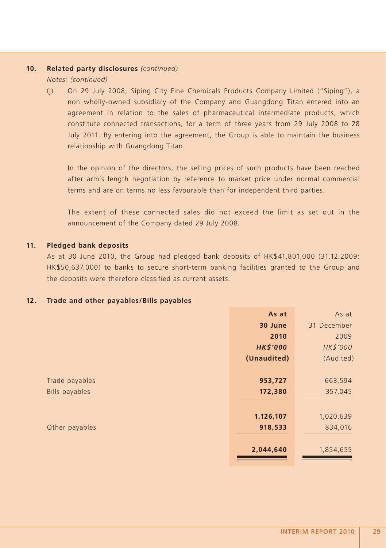*Notes: (continued)*

(j) On 29 July 2008, Siping City Fine Chemicals Products Company Limited ("Siping"), a non wholly-owned subsidiary of the Company and Guangdong Titan entered into an agreement in relation to the sales of pharmaceutical intermediate products, which constitute connected transactions, for a term of three years from 29 July 2008 to 28 July 2011. By entering into the agreement, the Group is able to maintain the business relationship with Guangdong Titan.

In the opinion of the directors, the selling prices of such products have been reached after arm's length negotiation by reference to market price under normal commercial terms and are on terms no less favourable than for independent third parties.

The extent of these connected sales did not exceed the limit as set out in the announcement of the Company dated 29 July 2008.

#### **11. Pledged bank deposits**

As at 30 June 2010, the Group had pledged bank deposits of HK\$41,801,000 (31.12.2009: HK\$50,637,000) to banks to secure short-term banking facilities granted to the Group and the deposits were therefore classified as current assets.

#### **12. Trade and other payables/Bills payables**

|                       | As at           | As at       |
|-----------------------|-----------------|-------------|
|                       | 30 June         | 31 December |
|                       | 2010            | 2009        |
|                       | <b>HK\$'000</b> | HK\$'000    |
|                       | (Unaudited)     | (Audited)   |
|                       |                 |             |
| Trade payables        | 953,727         | 663,594     |
| <b>Bills payables</b> | 172,380         | 357,045     |
|                       |                 |             |
|                       | 1,126,107       | 1,020,639   |
| Other payables        | 918,533         | 834,016     |
|                       |                 |             |
|                       | 2,044,640       | 1,854,655   |
|                       |                 |             |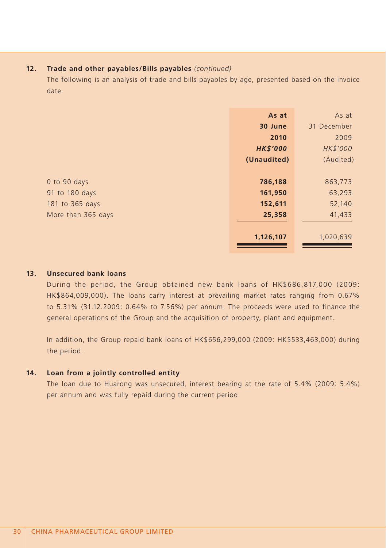#### **12. Trade and other payables/Bills payables** *(continued)*

The following is an analysis of trade and bills payables by age, presented based on the invoice date.

|                    | As at           | As at       |
|--------------------|-----------------|-------------|
|                    | 30 June         | 31 December |
|                    | 2010            | 2009        |
|                    | <b>HK\$'000</b> | HK\$'000    |
|                    | (Unaudited)     | (Audited)   |
|                    |                 |             |
| 0 to 90 days       | 786,188         | 863,773     |
| 91 to 180 days     | 161,950         | 63,293      |
| 181 to 365 days    | 152,611         | 52,140      |
| More than 365 days | 25,358          | 41,433      |
|                    |                 |             |
|                    | 1,126,107       | 1,020,639   |
|                    |                 |             |

#### **13. Unsecured bank loans**

During the period, the Group obtained new bank loans of HK\$686,817,000 (2009: HK\$864,009,000). The loans carry interest at prevailing market rates ranging from 0.67% to 5.31% (31.12.2009: 0.64% to 7.56%) per annum. The proceeds were used to finance the general operations of the Group and the acquisition of property, plant and equipment.

In addition, the Group repaid bank loans of HK\$656,299,000 (2009: HK\$533,463,000) during the period.

#### **14. Loan from a jointly controlled entity**

The loan due to Huarong was unsecured, interest bearing at the rate of 5.4% (2009: 5.4%) per annum and was fully repaid during the current period.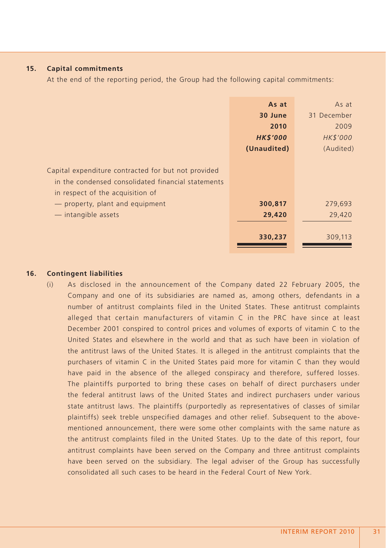#### **15. Capital commitments**

At the end of the reporting period, the Group had the following capital commitments:

|                                                     | As at           | As at       |
|-----------------------------------------------------|-----------------|-------------|
|                                                     | 30 June         | 31 December |
|                                                     | 2010            | 2009        |
|                                                     | <b>HK\$'000</b> | HK\$'000    |
|                                                     | (Unaudited)     | (Audited)   |
|                                                     |                 |             |
| Capital expenditure contracted for but not provided |                 |             |
| in the condensed consolidated financial statements  |                 |             |
| in respect of the acquisition of                    |                 |             |
| - property, plant and equipment                     | 300,817         | 279,693     |
| - intangible assets                                 | 29,420          | 29,420      |
|                                                     |                 |             |
|                                                     | 330,237         | 309,113     |
|                                                     |                 |             |

#### **16. Contingent liabilities**

(i) As disclosed in the announcement of the Company dated 22 February 2005, the Company and one of its subsidiaries are named as, among others, defendants in a number of antitrust complaints filed in the United States. These antitrust complaints alleged that certain manufacturers of vitamin C in the PRC have since at least December 2001 conspired to control prices and volumes of exports of vitamin C to the United States and elsewhere in the world and that as such have been in violation of the antitrust laws of the United States. It is alleged in the antitrust complaints that the purchasers of vitamin C in the United States paid more for vitamin C than they would have paid in the absence of the alleged conspiracy and therefore, suffered losses. The plaintiffs purported to bring these cases on behalf of direct purchasers under the federal antitrust laws of the United States and indirect purchasers under various state antitrust laws. The plaintiffs (purportedly as representatives of classes of similar plaintiffs) seek treble unspecified damages and other relief. Subsequent to the abovementioned announcement, there were some other complaints with the same nature as the antitrust complaints filed in the United States. Up to the date of this report, four antitrust complaints have been served on the Company and three antitrust complaints have been served on the subsidiary. The legal adviser of the Group has successfully consolidated all such cases to be heard in the Federal Court of New York.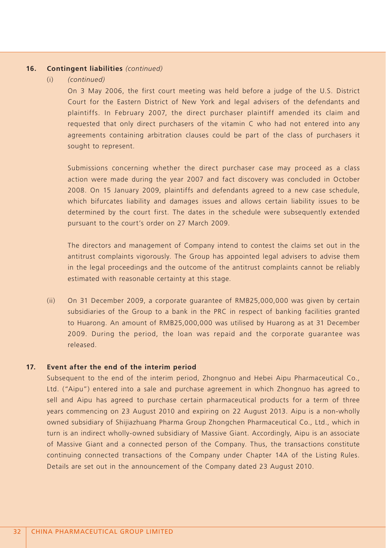#### **16. Contingent liabilities** *(continued)*

#### (i) *(continued)*

On 3 May 2006, the first court meeting was held before a judge of the U.S. District Court for the Eastern District of New York and legal advisers of the defendants and plaintiffs. In February 2007, the direct purchaser plaintiff amended its claim and requested that only direct purchasers of the vitamin C who had not entered into any agreements containing arbitration clauses could be part of the class of purchasers it sought to represent.

Submissions concerning whether the direct purchaser case may proceed as a class action were made during the year 2007 and fact discovery was concluded in October 2008. On 15 January 2009, plaintiffs and defendants agreed to a new case schedule, which bifurcates liability and damages issues and allows certain liability issues to be determined by the court first. The dates in the schedule were subsequently extended pursuant to the court's order on 27 March 2009.

The directors and management of Company intend to contest the claims set out in the antitrust complaints vigorously. The Group has appointed legal advisers to advise them in the legal proceedings and the outcome of the antitrust complaints cannot be reliably estimated with reasonable certainty at this stage.

(ii) On 31 December 2009, a corporate guarantee of RMB25,000,000 was given by certain subsidiaries of the Group to a bank in the PRC in respect of banking facilities granted to Huarong. An amount of RMB25,000,000 was utilised by Huarong as at 31 December 2009. During the period, the loan was repaid and the corporate guarantee was released.

#### **17. Event after the end of the interim period**

Subsequent to the end of the interim period, Zhongnuo and Hebei Aipu Pharmaceutical Co., Ltd. ("Aipu") entered into a sale and purchase agreement in which Zhongnuo has agreed to sell and Aipu has agreed to purchase certain pharmaceutical products for a term of three years commencing on 23 August 2010 and expiring on 22 August 2013. Aipu is a non-wholly owned subsidiary of Shijiazhuang Pharma Group Zhongchen Pharmaceutical Co., Ltd., which in turn is an indirect wholly-owned subsidiary of Massive Giant. Accordingly, Aipu is an associate of Massive Giant and a connected person of the Company. Thus, the transactions constitute continuing connected transactions of the Company under Chapter 14A of the Listing Rules. Details are set out in the announcement of the Company dated 23 August 2010.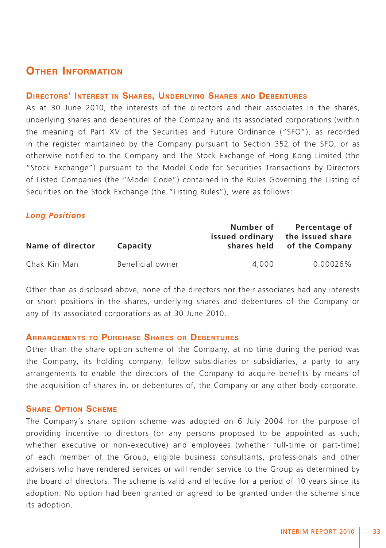# **OTHER INFORMATION**

#### **DIRECTORS' INTEREST IN SHARES, UNDERLYING SHARES AND DEBENTURES**

As at 30 June 2010, the interests of the directors and their associates in the shares, underlying shares and debentures of the Company and its associated corporations (within the meaning of Part XV of the Securities and Future Ordinance ("SFO"), as recorded in the register maintained by the Company pursuant to Section 352 of the SFO, or as otherwise notified to the Company and The Stock Exchange of Hong Kong Limited (the "Stock Exchange") pursuant to the Model Code for Securities Transactions by Directors of Listed Companies (the "Model Code") contained in the Rules Governing the Listing of Securities on the Stock Exchange (the "Listing Rules"), were as follows:

# *Long Positions*

| Name of director | Capacity         | Number of<br>issued ordinary<br>shares held | Percentage of<br>the issued share<br>of the Company |
|------------------|------------------|---------------------------------------------|-----------------------------------------------------|
| Chak Kin Man     | Beneficial owner | 4.000                                       | 0.00026%                                            |

Other than as disclosed above, none of the directors nor their associates had any interests or short positions in the shares, underlying shares and debentures of the Company or any of its associated corporations as at 30 June 2010.

# **ARRANGEMENTS TO PURCHASE SHARES OR DEBENTURES**

Other than the share option scheme of the Company, at no time during the period was the Company, its holding company, fellow subsidiaries or subsidiaries, a party to any arrangements to enable the directors of the Company to acquire benefits by means of the acquisition of shares in, or debentures of, the Company or any other body corporate.

# **SHARE OPTION SCHEME**

The Company's share option scheme was adopted on 6 July 2004 for the purpose of providing incentive to directors (or any persons proposed to be appointed as such, whether executive or non-executive) and employees (whether full-time or part-time) of each member of the Group, eligible business consultants, professionals and other advisers who have rendered services or will render service to the Group as determined by the board of directors. The scheme is valid and effective for a period of 10 years since its adoption. No option had been granted or agreed to be granted under the scheme since its adoption.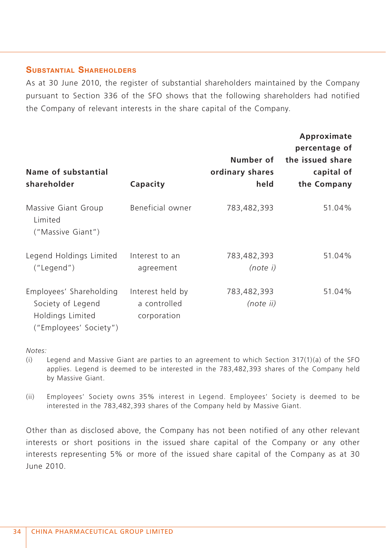# **SUBSTANTIAL SHAREHOLDERS**

As at 30 June 2010, the register of substantial shareholders maintained by the Company pursuant to Section 336 of the SFO shows that the following shareholders had notified the Company of relevant interests in the share capital of the Company.

| Name of substantial<br>shareholder                                                         | Capacity                                        | Number of<br>ordinary shares<br>held | Approximate<br>percentage of<br>the issued share<br>capital of<br>the Company |
|--------------------------------------------------------------------------------------------|-------------------------------------------------|--------------------------------------|-------------------------------------------------------------------------------|
| Massive Giant Group<br>Limited<br>("Massive Giant")                                        | Beneficial owner                                | 783,482,393                          | 51.04%                                                                        |
| Legend Holdings Limited<br>("Legend")                                                      | Interest to an<br>agreement                     | 783,482,393<br>(note i)              | 51.04%                                                                        |
| Employees' Shareholding<br>Society of Legend<br>Holdings Limited<br>("Employees' Society") | Interest held by<br>a controlled<br>corporation | 783,482,393<br>(note ii)             | 51.04%                                                                        |

#### *Notes:*

- (i) Legend and Massive Giant are parties to an agreement to which Section 317(1)(a) of the SFO applies. Legend is deemed to be interested in the 783,482,393 shares of the Company held by Massive Giant.
- (ii) Employees' Society owns 35% interest in Legend. Employees' Society is deemed to be interested in the 783,482,393 shares of the Company held by Massive Giant.

Other than as disclosed above, the Company has not been notified of any other relevant interests or short positions in the issued share capital of the Company or any other interests representing 5% or more of the issued share capital of the Company as at 30 June 2010.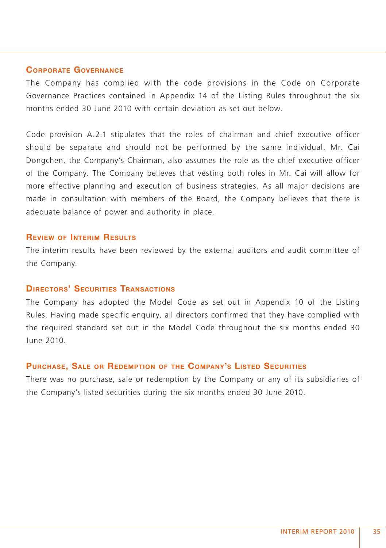## **CORPORATE GOVERNANCE**

The Company has complied with the code provisions in the Code on Corporate Governance Practices contained in Appendix 14 of the Listing Rules throughout the six months ended 30 June 2010 with certain deviation as set out below.

Code provision A.2.1 stipulates that the roles of chairman and chief executive officer should be separate and should not be performed by the same individual. Mr. Cai Dongchen, the Company's Chairman, also assumes the role as the chief executive officer of the Company. The Company believes that vesting both roles in Mr. Cai will allow for more effective planning and execution of business strategies. As all major decisions are made in consultation with members of the Board, the Company believes that there is adequate balance of power and authority in place.

## **REVIEW OF INTERIM RESULTS**

The interim results have been reviewed by the external auditors and audit committee of the Company.

## **DIRECTORS' SECURITIES TRANSACTIONS**

The Company has adopted the Model Code as set out in Appendix 10 of the Listing Rules. Having made specific enquiry, all directors confirmed that they have complied with the required standard set out in the Model Code throughout the six months ended 30 June 2010.

#### **PURCHASE, SALE OR REDEMPTION OF THE COMPANY'S LISTED SECURITIES**

There was no purchase, sale or redemption by the Company or any of its subsidiaries of the Company's listed securities during the six months ended 30 June 2010.